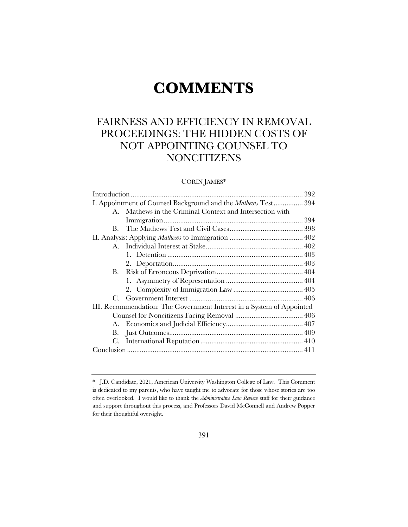# **COMMENTS**

# FAIRNESS AND EFFICIENCY IN REMOVAL PROCEEDINGS: THE HIDDEN COSTS OF NOT APPOINTING COUNSEL TO NONCITIZENS

# CORIN JAMES\*

| I. Appointment of Counsel Background and the Mathews Test 394         |                                                       |  |
|-----------------------------------------------------------------------|-------------------------------------------------------|--|
| A.                                                                    | Mathews in the Criminal Context and Intersection with |  |
|                                                                       |                                                       |  |
| $\mathbf{B}$                                                          |                                                       |  |
|                                                                       |                                                       |  |
|                                                                       |                                                       |  |
|                                                                       |                                                       |  |
|                                                                       |                                                       |  |
| <b>B.</b>                                                             |                                                       |  |
|                                                                       |                                                       |  |
|                                                                       |                                                       |  |
|                                                                       |                                                       |  |
| III. Recommendation: The Government Interest in a System of Appointed |                                                       |  |
|                                                                       |                                                       |  |
|                                                                       |                                                       |  |
| В.                                                                    |                                                       |  |
|                                                                       |                                                       |  |
|                                                                       |                                                       |  |
|                                                                       |                                                       |  |

<sup>\*</sup> J.D. Candidate, 2021, American University Washington College of Law. This Comment is dedicated to my parents, who have taught me to advocate for those whose stories are too often overlooked. I would like to thank the *Administrative Law Review* staff for their guidance and support throughout this process, and Professors David McConnell and Andrew Popper for their thoughtful oversight.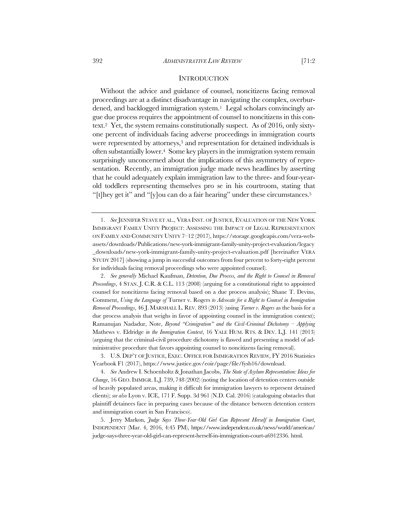Without the advice and guidance of counsel, noncitizens facing removal proceedings are at a distinct disadvantage in navigating the complex, overburdened, and backlogged immigration system.<sup>1</sup> Legal scholars convincingly argue due process requires the appointment of counsel to noncitizens in this context.2 Yet, the system remains constitutionally suspect. As of 2016, only sixtyone percent of individuals facing adverse proceedings in immigration courts were represented by attorneys,<sup>3</sup> and representation for detained individuals is often substantially lower.4 Some key players in the immigration system remain surprisingly unconcerned about the implications of this asymmetry of representation. Recently, an immigration judge made news headlines by asserting that he could adequately explain immigration law to the three- and four-yearold toddlers representing themselves pro se in his courtroom, stating that "[t]hey get it" and "[y]ou can do a fair hearing" under these circumstances.5

2. *See generally* Michael Kaufman, *Detention, Due Process, and the Right to Counsel in Removal Proceedings*, 4 STAN. J. C.R. & C.L. 113 (2008) (arguing for a constitutional right to appointed counsel for noncitizens facing removal based on a due process analysis); Shane T. Devins, Comment, *Using the Language of* Turner v. Rogers *to Advocate for a Right to Counsel in Immigration Removal Proceedings*, 46 J. MARSHALL L. REV. 893 (2013) (using *Turner v. Rogers* as the basis for a due process analysis that weighs in favor of appointing counsel in the immigration context); Ramanujan Nadadur, Note, *Beyond "Crimigration" and the Civil-Criminal Dichotomy – Applying*  Mathews v. Eldridge *in the Immigration Context*, 16 YALE HUM. RTS. & DEV. L.J. 141 (2013) (arguing that the criminal-civil procedure dichotomy is flawed and presenting a model of administrative procedure that favors appointing counsel to noncitizens facing removal).

3. U.S. DEP'T OF JUSTICE, EXEC. OFFICE FOR IMMIGRATION REVIEW, FY 2016 Statistics Yearbook F1 (2017), https://www.justice.gov/eoir/page/file/fysb16/download.

4. *See* Andrew I. Schoenholtz & Jonathan Jacobs, *The State of Asylum Representation: Ideas for Change*, 16 GEO. IMMIGR. L.J. 739, 748 (2002) (noting the location of detention centers outside of heavily populated areas, making it difficult for immigration lawyers to represent detained clients); *see also* Lyon v. ICE, 171 F. Supp. 3d 961 (N.D. Cal. 2016) (cataloguing obstacles that plaintiff detainees face in preparing cases because of the distance between detention centers and immigration court in San Francisco).

5. Jerry Markon, *Judge Says Three-Year-Old Girl Can Represent Herself in Immigration Court*, INDEPENDENT (Mar. 4, 2016, 4:45 PM), https://www.independent.co.uk/news/world/americas/ judge-says-three-year-old-girl-can-represent-herself-in-immigration-court-a6912336. html.

<sup>1.</sup> *See* JENNIFER STAVE ET AL., VERA INST. OF JUSTICE, EVALUATION OF THE NEW YORK IMMIGRANT FAMILY UNITY PROJECT: ASSESSING THE IMPACT OF LEGAL REPRESENTATION ON FAMILY AND COMMUNITY UNITY 7–12 (2017), https://storage.googleapis.com/vera-webassets/downloads/Publications/new-york-immigrant-family-unity-project-evaluation/legacy \_downloads/new-york-immigrant-family-unity-project-evaluation.pdf [hereinafter VERA STUDY 2017] (showing a jump in successful outcomes from four percent to forty-eight percent for individuals facing removal proceedings who were appointed counsel).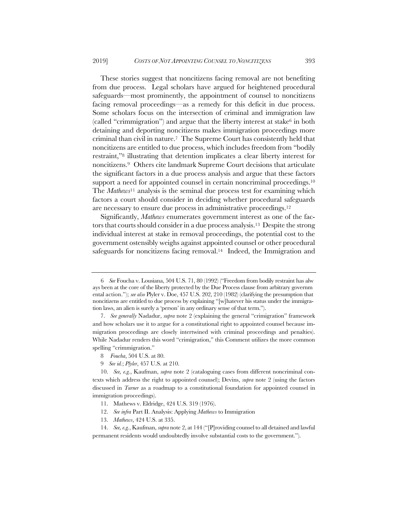These stories suggest that noncitizens facing removal are not benefiting from due process. Legal scholars have argued for heightened procedural safeguards—most prominently, the appointment of counsel to noncitizens facing removal proceedings—as a remedy for this deficit in due process. Some scholars focus on the intersection of criminal and immigration law (called "crimmigration") and argue that the liberty interest at stake<sup>6</sup> in both detaining and deporting noncitizens makes immigration proceedings more criminal than civil in nature.7 The Supreme Court has consistently held that noncitizens are entitled to due process, which includes freedom from "bodily restraint,"8 illustrating that detention implicates a clear liberty interest for noncitizens.9 Others cite landmark Supreme Court decisions that articulate the significant factors in a due process analysis and argue that these factors support a need for appointed counsel in certain noncriminal proceedings.<sup>10</sup> The *Mathews*<sup>11</sup> analysis is the seminal due process test for examining which factors a court should consider in deciding whether procedural safeguards are necessary to ensure due process in administrative proceedings.12

Significantly, *Mathews* enumerates government interest as one of the factors that courts should consider in a due process analysis.13 Despite the strong individual interest at stake in removal proceedings, the potential cost to the government ostensibly weighs against appointed counsel or other procedural safeguards for noncitizens facing removal.<sup>14</sup> Indeed, the Immigration and

<sup>6</sup> *See* Foucha v. Lousiana, 504 U.S. 71, 80 (1992) ("Freedom from bodily restraint has alw ays been at the core of the liberty protected by the Due Process clause from arbitrary governm ental action."); *see also* Plyler v. Doe, 457 U.S. 202, 210 (1982) (clarifying the presumption that noncitizens are entitled to due process by explaining "[w]hatever his status under the immigration laws, an alien is surely a 'person' in any ordinary sense of that term.").

<sup>7.</sup> *See generally* Nadadur, *supra* note 2 (explaining the general "crimigration" framework and how scholars use it to argue for a constitutional right to appointed counsel because immigration proceedings are closely intertwined with criminal proceedings and penalties). While Nadadur renders this word "crimigration," this Comment utilizes the more common spelling "crimmigration."

<sup>8</sup> *Foucha*, 504 U.S. at 80.

<sup>9</sup> *See id.*; *Plyler*, 457 U.S. at 210.

<sup>10.</sup> *See, e.g.*, Kaufman, *supra* note 2 (cataloguing cases from different noncriminal contexts which address the right to appointed counsel); Devins, *supra* note 2 (using the factors discussed in *Turner* as a roadmap to a constitutional foundation for appointed counsel in immigration proceedings).

<sup>11.</sup> Mathews v. Eldridge, 424 U.S. 319 (1976).

<sup>12.</sup> *See infra* Part II. Analysis: Applying *Mathews* to Immigration

<sup>13.</sup> *Mathews*, 424 U.S. at 335.

<sup>14.</sup> *See, e.g.*, Kaufman, *supra* note 2, at 144 ("[P]roviding counsel to all detained and lawful permanent residents would undoubtedly involve substantial costs to the government.").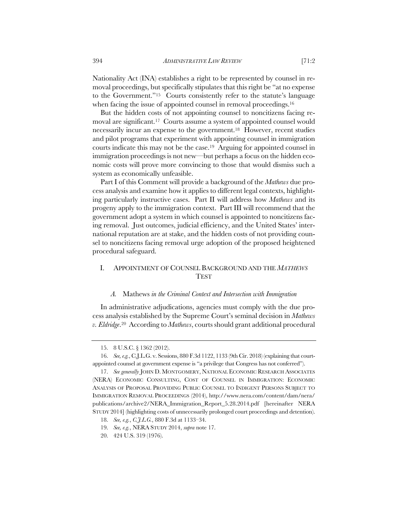Nationality Act (INA) establishes a right to be represented by counsel in removal proceedings, but specifically stipulates that this right be "at no expense to the Government."15 Courts consistently refer to the statute's language when facing the issue of appointed counsel in removal proceedings.<sup>16</sup>

But the hidden costs of not appointing counsel to noncitizens facing removal are significant.17 Courts assume a system of appointed counsel would necessarily incur an expense to the government.18 However, recent studies and pilot programs that experiment with appointing counsel in immigration courts indicate this may not be the case.19 Arguing for appointed counsel in immigration proceedings is not new—but perhaps a focus on the hidden economic costs will prove more convincing to those that would dismiss such a system as economically unfeasible.

Part I of this Comment will provide a background of the *Mathews* due process analysis and examine how it applies to different legal contexts, highlighting particularly instructive cases. Part II will address how *Mathews* and its progeny apply to the immigration context. Part III will recommend that the government adopt a system in which counsel is appointed to noncitizens facing removal. Just outcomes, judicial efficiency, and the United States' international reputation are at stake, and the hidden costs of not providing counsel to noncitizens facing removal urge adoption of the proposed heightened procedural safeguard.

# I. APPOINTMENT OF COUNSEL BACKGROUND AND THE *MATHEWS* TEST

#### *A.* Mathews *in the Criminal Context and Intersection with Immigration*

In administrative adjudications, agencies must comply with the due process analysis established by the Supreme Court's seminal decision in *Mathews v. Eldridge*.20 According to *Mathews*, courts should grant additional procedural

<sup>15.</sup> 8 U.S.C. § 1362 (2012).

<sup>16.</sup> *See, e.g.*, C.J.L.G. v. Sessions, 880 F.3d 1122, 1133 (9th Cir. 2018) (explaining that courtappointed counsel at government expense is "a privilege that Congress has not conferred").

<sup>17.</sup> *See generally* JOHN D. MONTGOMERY, NATIONAL ECONOMIC RESEARCH ASSOCIATES (NERA) ECONOMIC CONSULTING, COST OF COUNSEL IN IMMIGRATION: ECONOMIC ANALYSIS OF PROPOSAL PROVIDING PUBLIC COUNSEL TO INDIGENT PERSONS SUBJECT TO IMMIGRATION REMOVAL PROCEEDINGS (2014), http://www.nera.com/content/dam/nera/ publications/archive2/NERA\_Immigration\_Report\_5.28.2014.pdf [hereinafter NERA STUDY 2014] (highlighting costs of unnecessarily prolonged court proceedings and detention).

<sup>18.</sup> *See, e.g.*, *C.J.L.G.*, 880 F.3d at 1133–34.

<sup>19.</sup> *See, e.g.*, NERA STUDY 2014, *supra* note 17.

<sup>20.</sup> 424 U.S. 319 (1976).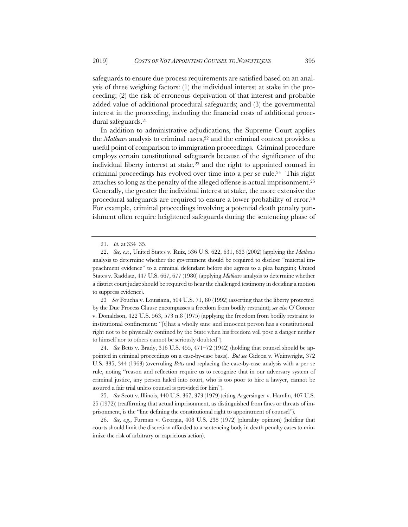safeguards to ensure due process requirements are satisfied based on an analysis of three weighing factors: (1) the individual interest at stake in the proceeding; (2) the risk of erroneous deprivation of that interest and probable added value of additional procedural safeguards; and (3) the governmental interest in the proceeding, including the financial costs of additional procedural safeguards.21

In addition to administrative adjudications, the Supreme Court applies the *Mathews* analysis to criminal cases,<sup>22</sup> and the criminal context provides a useful point of comparison to immigration proceedings. Criminal procedure employs certain constitutional safeguards because of the significance of the individual liberty interest at stake,<sup>23</sup> and the right to appointed counsel in criminal proceedings has evolved over time into a per se rule.24 This right attaches so long as the penalty of the alleged offense is actual imprisonment.25 Generally, the greater the individual interest at stake, the more extensive the procedural safeguards are required to ensure a lower probability of error.26 For example, criminal proceedings involving a potential death penalty punishment often require heightened safeguards during the sentencing phase of

24. *See* Betts v. Brady, 316 U.S. 455, 471–72 (1942) (holding that counsel should be appointed in criminal proceedings on a case-by-case basis). *But see* Gideon v. Wainwright, 372 U.S. 335, 344 (1963) (overruling *Betts* and replacing the case-by-case analysis with a per se rule, noting "reason and reflection require us to recognize that in our adversary system of criminal justice, any person haled into court, who is too poor to hire a lawyer, cannot be assured a fair trial unless counsel is provided for him").

25. *See* Scott v. Illinois, 440 U.S. 367, 373 (1979) (citing Argersinger v. Hamlin, 407 U.S. 25 (1972)) (reaffirming that actual imprisonment, as distinguished from fines or threats of imprisonment, is the "line defining the constitutional right to appointment of counsel").

26. *See, e.g.*, Furman v. Georgia, 408 U.S. 238 (1972) (plurality opinion) (holding that courts should limit the discretion afforded to a sentencing body in death penalty cases to minimize the risk of arbitrary or capricious action).

<sup>21.</sup> *Id.* at 334–35.

<sup>22.</sup> *See, e.g.*, United States v. Ruiz, 536 U.S. 622, 631, 633 (2002) (applying the *Mathews*  analysis to determine whether the government should be required to disclose "material impeachment evidence" to a criminal defendant before she agrees to a plea bargain); United States v. Raddatz, 447 U.S. 667, 677 (1980) (applying *Mathews* analysis to determine whether a district court judge should be required to hear the challenged testimony in deciding a motion to suppress evidence).

<sup>23</sup> *See* Foucha v. Louisiana, 504 U.S. 71, 80 (1992) (asserting that the liberty protected by the Due Process Clause encompasses a freedom from bodily restraint); *see also* O'Connor v. Donaldson, 422 U.S. 563, 573 n.8 (1975) (applying the freedom from bodily restraint to institutional confinement: "[t]hat a wholly sane and innocent person has a constitutional right not to be physically confined by the State when his freedom will pose a danger neither to himself nor to others cannot be seriously doubted").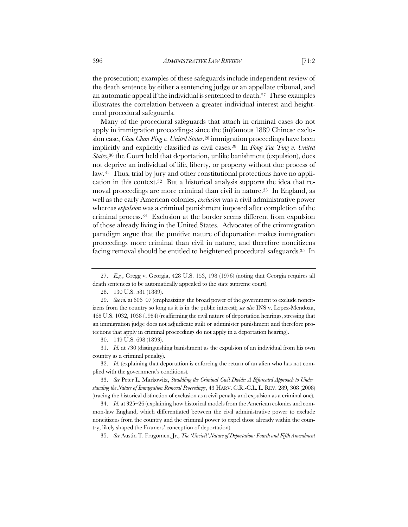the prosecution; examples of these safeguards include independent review of the death sentence by either a sentencing judge or an appellate tribunal, and an automatic appeal if the individual is sentenced to death.27 These examples illustrates the correlation between a greater individual interest and heightened procedural safeguards.

Many of the procedural safeguards that attach in criminal cases do not apply in immigration proceedings; since the (in)famous 1889 Chinese exclusion case, *Chae Chan Ping v. United States*,28 immigration proceedings have been implicitly and explicitly classified as civil cases.29 In *Fong Yue Ting v. United States*,30 the Court held that deportation, unlike banishment (expulsion), does not deprive an individual of life, liberty, or property without due process of law.31 Thus, trial by jury and other constitutional protections have no application in this context.32 But a historical analysis supports the idea that removal proceedings are more criminal than civil in nature.<sup>33</sup> In England, as well as the early American colonies, *exclusion* was a civil administrative power whereas *expulsion* was a criminal punishment imposed after completion of the criminal process.34 Exclusion at the border seems different from expulsion of those already living in the United States. Advocates of the crimmigration paradigm argue that the punitive nature of deportation makes immigration proceedings more criminal than civil in nature, and therefore noncitizens facing removal should be entitled to heightened procedural safeguards.35 In

30. 149 U.S. 698 (1893).

31. *Id.* at 730 (distinguishing banishment as the expulsion of an individual from his own country as a criminal penalty).

32. *Id.* (explaining that deportation is enforcing the return of an alien who has not complied with the government's conditions).

33. *See* Peter L. Markowitz, *Straddling the Criminal-Civil Divide: A Bifurcated Approach to Understanding the Nature of Immigration Removal Proceedings*, 43 HARV. C.R.-C.L. L. REV. 289, 308 (2008) (tracing the historical distinction of exclusion as a civil penalty and expulsion as a criminal one).

34. *Id.* at 325–26 (explaining how historical models from the American colonies and common-law England, which differentiated between the civil administrative power to exclude noncitizens from the country and the criminal power to expel those already within the country, likely shaped the Framers' conception of deportation).

35. *See* Austin T. Fragomen, Jr., *The 'Uncivil' Nature of Deportation: Fourth and Fifth Amendment* 

<sup>27.</sup> *E.g.*, Gregg v. Georgia, 428 U.S. 153, 198 (1976) (noting that Georgia requires all death sentences to be automatically appealed to the state supreme court).

<sup>28.</sup> 130 U.S. 581 (1889).

<sup>29.</sup> *See id.* at 606–07 (emphasizing the broad power of the government to exclude noncitizens from the country so long as it is in the public interest); *see also* INS v. Lopez-Mendoza, 468 U.S. 1032, 1038 (1984) (reaffirming the civil nature of deportation hearings, stressing that an immigration judge does not adjudicate guilt or administer punishment and therefore protections that apply in criminal proceedings do not apply in a deportation hearing).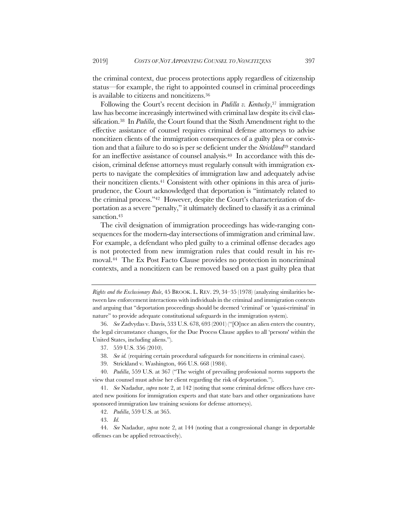the criminal context, due process protections apply regardless of citizenship status—for example, the right to appointed counsel in criminal proceedings is available to citizens and noncitizens.36

Following the Court's recent decision in *Padilla v. Kentucky*,37 immigration law has become increasingly intertwined with criminal law despite its civil classification.38 In *Padilla*, the Court found that the Sixth Amendment right to the effective assistance of counsel requires criminal defense attorneys to advise noncitizen clients of the immigration consequences of a guilty plea or conviction and that a failure to do so is per se deficient under the *Strickland*<sup>39</sup> standard for an ineffective assistance of counsel analysis.40 In accordance with this decision, criminal defense attorneys must regularly consult with immigration experts to navigate the complexities of immigration law and adequately advise their noncitizen clients.41 Consistent with other opinions in this area of jurisprudence, the Court acknowledged that deportation is "intimately related to the criminal process."42 However, despite the Court's characterization of deportation as a severe "penalty," it ultimately declined to classify it as a criminal sanction.<sup>43</sup>

The civil designation of immigration proceedings has wide-ranging consequences for the modern-day intersections of immigration and criminal law. For example, a defendant who pled guilty to a criminal offense decades ago is not protected from new immigration rules that could result in his removal.44 The Ex Post Facto Clause provides no protection in noncriminal contexts, and a noncitizen can be removed based on a past guilty plea that

- 37. 559 U.S. 356 (2010).
- 38. *See id.* (requiring certain procedural safeguards for noncitizens in criminal cases).
- 39. Strickland v. Washington, 466 U.S. 668 (1984).

40. *Padilla*, 559 U.S. at 367 ("The weight of prevailing professional norms supports the view that counsel must advise her client regarding the risk of deportation.").

41. *See* Nadadur, *supra* note 2, at 142 (noting that some criminal defense offices have created new positions for immigration experts and that state bars and other organizations have sponsored immigration law training sessions for defense attorneys).

44. *See* Nadadur, *supra* note 2, at 144 (noting that a congressional change in deportable offenses can be applied retroactively).

*Rights and the Exclusionary Rule*, 45 BROOK. L. REV. 29, 34–35 (1978) (analyzing similarities between law enforcement interactions with individuals in the criminal and immigration contexts and arguing that "deportation proceedings should be deemed 'criminal' or 'quasi-criminal' in nature" to provide adequate constitutional safeguards in the immigration system).

<sup>36.</sup> *See* Zadvydas v. Davis, 533 U.S. 678, 693 (2001) ("[O]nce an alien enters the country, the legal circumstance changes, for the Due Process Clause applies to all 'persons' within the United States, including aliens.").

<sup>42.</sup> *Padilla*, 559 U.S. at 365.

<sup>43.</sup> *Id.*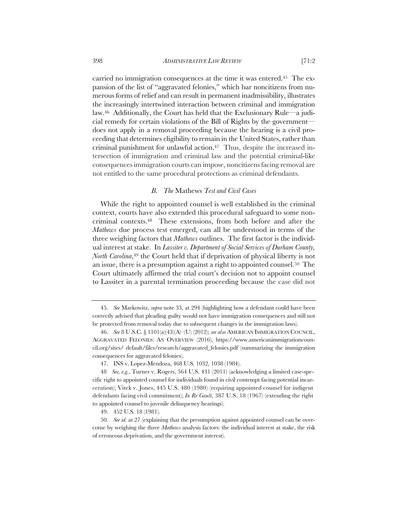carried no immigration consequences at the time it was entered.45 The expansion of the list of "aggravated felonies," which bar noncitizens from numerous forms of relief and can result in permanent inadmissibility, illustrates the increasingly intertwined interaction between criminal and immigration law.46 Additionally, the Court has held that the Exclusionary Rule—a judicial remedy for certain violations of the Bill of Rights by the government does not apply in a removal proceeding because the hearing is a civil proceeding that determines eligibility to remain in the United States, rather than criminal punishment for unlawful action.<sup>47</sup> Thus, despite the increased intersection of immigration and criminal law and the potential criminal-like consequences immigration courts can impose, noncitizens facing removal are not entitled to the same procedural protections as criminal defendants.

#### *B. The* Mathews *Test and Civil Cases*

While the right to appointed counsel is well established in the criminal context, courts have also extended this procedural safeguard to some noncriminal contexts.48 These extensions, from both before and after the *Mathews* due process test emerged, can all be understood in terms of the three weighing factors that *Mathews* outlines. The first factor is the individual interest at stake. In *Lassiter v. Department of Social Services of Durham County, North Carolina*,<sup>49</sup> the Court held that if deprivation of physical liberty is not an issue, there is a presumption against a right to appointed counsel.50 The Court ultimately affirmed the trial court's decision not to appoint counsel to Lassiter in a parental termination proceeding because the case did not

<sup>45.</sup> *See* Markowitz, *supra* note 33, at 294 (highlighting how a defendant could have been correctly advised that pleading guilty would not have immigration consequences and still not be protected from removal today due to subsequent changes in the immigration laws).

<sup>46.</sup> *See* 8 U.S.C. § 1101(a)(43)(A)–(U) (2012); *see also* AMERICAN IMMIGRATION COUNCIL, AGGRAVATED FELONIES: AN OVERVIEW (2016), https://www.americanimmigrationcouncil.org/sites/ default/files/research/aggravated\_felonies.pdf (summarizing the immigration consequences for aggravated felonies).

<sup>47.</sup> INS v. Lopez-Mendoza, 468 U.S. 1032, 1038 (1984).

<sup>48</sup> *See, e.g.*, Turner v. Rogers, 564 U.S. 431 (2011) (acknowledging a limited case-specific right to appointed counsel for individuals found in civil contempt facing potential incarceration); Vitek v. Jones, 445 U.S. 480 (1980) (requiring appointed counsel for indigent defendants facing civil commitment); *In Re Gault*, 387 U.S. 18 (1967) (extending the right to appointed counsel to juvenile delinquency hearings).

<sup>49.</sup> 452 U.S. 18 (1981).

<sup>50.</sup> *See id.* at 27 (explaining that the presumption against appointed counsel can be overcome by weighing the three *Mathews* analysis factors: the individual interest at stake, the risk of erroneous deprivation, and the government interest).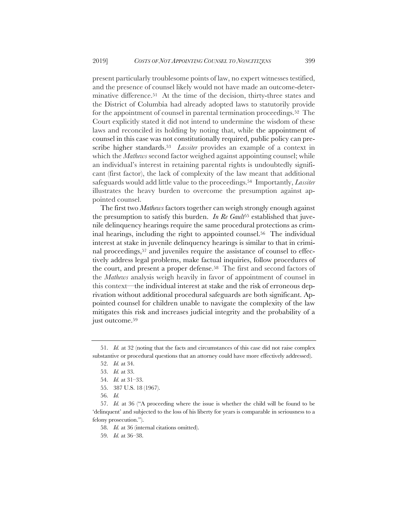present particularly troublesome points of law, no expert witnesses testified, and the presence of counsel likely would not have made an outcome-determinative difference.51 At the time of the decision, thirty-three states and the District of Columbia had already adopted laws to statutorily provide for the appointment of counsel in parental termination proceedings.52 The Court explicitly stated it did not intend to undermine the wisdom of these laws and reconciled its holding by noting that, while the appointment of counsel in this case was not constitutionally required, public policy can prescribe higher standards.53 *Lassiter* provides an example of a context in which the *Mathews* second factor weighed against appointing counsel; while an individual's interest in retaining parental rights is undoubtedly significant (first factor), the lack of complexity of the law meant that additional safeguards would add little value to the proceedings.54 Importantly, *Lassiter* illustrates the heavy burden to overcome the presumption against appointed counsel.

The first two *Mathews* factors together can weigh strongly enough against the presumption to satisfy this burden. *In Re Gault*<sup>55</sup> established that juvenile delinquency hearings require the same procedural protections as criminal hearings, including the right to appointed counsel.56 The individual interest at stake in juvenile delinquency hearings is similar to that in criminal proceedings,<sup>57</sup> and juveniles require the assistance of counsel to effectively address legal problems, make factual inquiries, follow procedures of the court, and present a proper defense.<sup>58</sup> The first and second factors of the *Mathews* analysis weigh heavily in favor of appointment of counsel in this context—the individual interest at stake and the risk of erroneous deprivation without additional procedural safeguards are both significant. Appointed counsel for children unable to navigate the complexity of the law mitigates this risk and increases judicial integrity and the probability of a just outcome.<sup>59</sup>

<sup>51.</sup> *Id.* at 32 (noting that the facts and circumstances of this case did not raise complex substantive or procedural questions that an attorney could have more effectively addressed).

<sup>52.</sup> *Id.* at 34.

<sup>53.</sup> *Id.* at 33.

<sup>54.</sup> *Id.* at 31–33.

<sup>55.</sup> 387 U.S. 18 (1967).

<sup>56.</sup> *Id.*

<sup>57.</sup> *Id.* at 36 ("A proceeding where the issue is whether the child will be found to be 'delinquent' and subjected to the loss of his liberty for years is comparable in seriousness to a felony prosecution.").

<sup>58.</sup> *Id.* at 36 (internal citations omitted).

<sup>59.</sup> *Id.* at 36–38.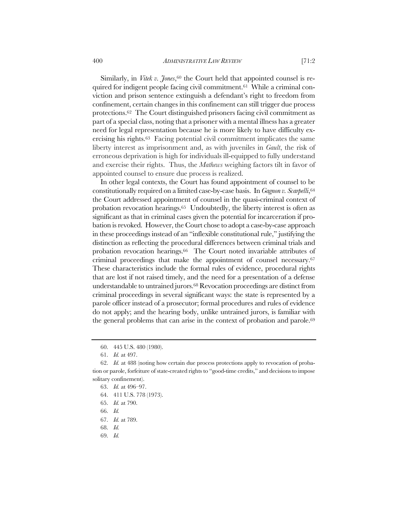Similarly, in *Vitek v.* Jones,<sup>60</sup> the Court held that appointed counsel is required for indigent people facing civil commitment.61 While a criminal conviction and prison sentence extinguish a defendant's right to freedom from confinement, certain changes in this confinement can still trigger due process protections.62 The Court distinguished prisoners facing civil commitment as part of a special class, noting that a prisoner with a mental illness has a greater need for legal representation because he is more likely to have difficulty exercising his rights.<sup>63</sup> Facing potential civil commitment implicates the same liberty interest as imprisonment and, as with juveniles in *Gault*, the risk of erroneous deprivation is high for individuals ill-equipped to fully understand and exercise their rights. Thus, the *Mathews* weighing factors tilt in favor of appointed counsel to ensure due process is realized.

In other legal contexts, the Court has found appointment of counsel to be constitutionally required on a limited case-by-case basis. In *Gagnon v. Scarpelli*,64 the Court addressed appointment of counsel in the quasi-criminal context of probation revocation hearings.65 Undoubtedly, the liberty interest is often as significant as that in criminal cases given the potential for incarceration if probation is revoked. However, the Court chose to adopt a case-by-case approach in these proceedings instead of an "inflexible constitutional rule," justifying the distinction as reflecting the procedural differences between criminal trials and probation revocation hearings.66 The Court noted invariable attributes of criminal proceedings that make the appointment of counsel necessary.67 These characteristics include the formal rules of evidence, procedural rights that are lost if not raised timely, and the need for a presentation of a defense understandable to untrained jurors.68 Revocation proceedings are distinct from criminal proceedings in several significant ways: the state is represented by a parole officer instead of a prosecutor; formal procedures and rules of evidence do not apply; and the hearing body, unlike untrained jurors, is familiar with the general problems that can arise in the context of probation and parole.<sup>69</sup>

- 64. 411 U.S. 778 (1973).
- 65. *Id.* at 790.
- 66. *Id.*
- 67. *Id.* at 789.
- 68. *Id.*
- 69. *Id.*

<sup>60.</sup> 445 U.S. 480 (1980).

<sup>61.</sup> *Id.* at 497.

<sup>62.</sup> *Id.* at 488 (noting how certain due process protections apply to revocation of probation or parole, forfeiture of state-created rights to "good-time credits," and decisions to impose solitary confinement).

<sup>63.</sup> *Id.* at 496–97.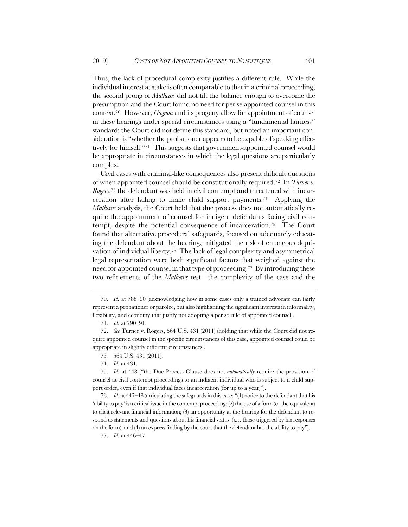Thus, the lack of procedural complexity justifies a different rule. While the individual interest at stake is often comparable to that in a criminal proceeding, the second prong of *Mathews* did not tilt the balance enough to overcome the presumption and the Court found no need for per se appointed counsel in this context.70 However, *Gagnon* and its progeny allow for appointment of counsel in these hearings under special circumstances using a "fundamental fairness" standard; the Court did not define this standard, but noted an important consideration is "whether the probationer appears to be capable of speaking effectively for himself."71 This suggests that government-appointed counsel would be appropriate in circumstances in which the legal questions are particularly complex.

Civil cases with criminal-like consequences also present difficult questions of when appointed counsel should be constitutionally required.72 In *Turner v. Rogers*,73 the defendant was held in civil contempt and threatened with incarceration after failing to make child support payments.74 Applying the *Mathews* analysis, the Court held that due process does not automatically require the appointment of counsel for indigent defendants facing civil contempt, despite the potential consequence of incarceration.75 The Court found that alternative procedural safeguards, focused on adequately educating the defendant about the hearing, mitigated the risk of erroneous deprivation of individual liberty.76 The lack of legal complexity and asymmetrical legal representation were both significant factors that weighed against the need for appointed counsel in that type of proceeding.77 By introducing these two refinements of the *Mathews* test—the complexity of the case and the

<sup>70.</sup> *Id.* at 788–90 (acknowledging how in some cases only a trained advocate can fairly represent a probationer or parolee, but also highlighting the significant interests in informality, flexibility, and economy that justify not adopting a per se rule of appointed counsel).

<sup>71.</sup> *Id.* at 790–91.

<sup>72.</sup> *See* Turner v. Rogers, 564 U.S. 431 (2011) (holding that while the Court did not require appointed counsel in the specific circumstances of this case, appointed counsel could be appropriate in slightly different circumstances).

<sup>73</sup>*.* 564 U.S. 431 (2011).

<sup>74.</sup> *Id.* at 431.

<sup>75.</sup> *Id.* at 448 ("the Due Process Clause does not *automatically* require the provision of counsel at civil contempt proceedings to an indigent individual who is subject to a child support order, even if that individual faces incarceration (for up to a year)").

<sup>76.</sup> *Id.* at 447–48 (articulating the safeguards in this case: "(1) notice to the defendant that his 'ability to pay' is a critical issue in the contempt proceeding; (2) the use of a form (or the equivalent) to elicit relevant financial information; (3) an opportunity at the hearing for the defendant to respond to statements and questions about his financial status, (*e.g.,* those triggered by his responses on the form); and (4) an express finding by the court that the defendant has the ability to pay").

<sup>77.</sup> *Id.* at 446–47.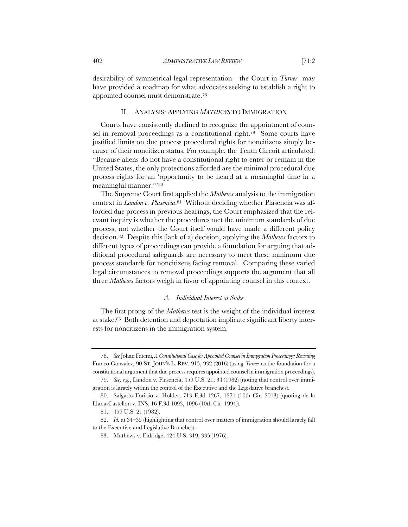desirability of symmetrical legal representation—the Court in *Turner* may have provided a roadmap for what advocates seeking to establish a right to appointed counsel must demonstrate.78

#### II. ANALYSIS: APPLYING *MATHEWS* TO IMMIGRATION

Courts have consistently declined to recognize the appointment of counsel in removal proceedings as a constitutional right.79 Some courts have justified limits on due process procedural rights for noncitizens simply because of their noncitizen status. For example, the Tenth Circuit articulated: "Because aliens do not have a constitutional right to enter or remain in the United States, the only protections afforded are the minimal procedural due process rights for an 'opportunity to be heard at a meaningful time in a meaningful manner.'"80

The Supreme Court first applied the *Mathews* analysis to the immigration context in *Landon v. Plasencia*.81 Without deciding whether Plasencia was afforded due process in previous hearings, the Court emphasized that the relevant inquiry is whether the procedures met the minimum standards of due process, not whether the Court itself would have made a different policy decision.82 Despite this (lack of a) decision, applying the *Mathews* factors to different types of proceedings can provide a foundation for arguing that additional procedural safeguards are necessary to meet these minimum due process standards for noncitizens facing removal. Comparing these varied legal circumstances to removal proceedings supports the argument that all three *Mathews* factors weigh in favor of appointing counsel in this context.

### *A. Individual Interest at Stake*

The first prong of the *Mathews* test is the weight of the individual interest at stake.83 Both detention and deportation implicate significant liberty interests for noncitizens in the immigration system.

<sup>78.</sup> *See*Johan Fatemi, *A Constitutional Case for Appointed Counsel in Immigration Proceedings: Revisiting*  Franco-Gonzalez, 90 ST. JOHN'S L. REV. 915, 932 (2016) (using *Turner* as the foundation for a constitutional argument that due process requires appointed counsel in immigration proceedings).

<sup>79.</sup> *See, e.g.*, Landon v. Plasencia, 459 U.S. 21, 34 (1982) (noting that control over immigration is largely within the control of the Executive and the Legislative branches).

<sup>80.</sup> Salgado-Toribio v. Holder, 713 F.3d 1267, 1271 (10th Cir. 2013) (quoting de la Llana-Castellon v. INS, 16 F.3d 1093, 1096 (10th Cir. 1994)).

<sup>81.</sup> 459 U.S. 21 (1982).

<sup>82.</sup> *Id.* at 34–35 (highlighting that control over matters of immigration should largely fall to the Executive and Legislative Branches).

<sup>83.</sup> Mathews v. Eldridge, 424 U.S. 319, 335 (1976).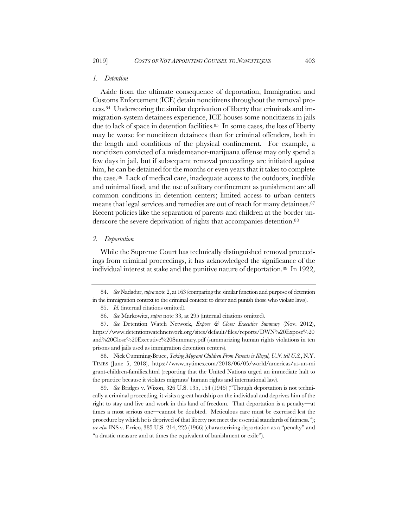#### *1. Detention*

Aside from the ultimate consequence of deportation, Immigration and Customs Enforcement (ICE) detain noncitizens throughout the removal process.84 Underscoring the similar deprivation of liberty that criminals and immigration-system detainees experience, ICE houses some noncitizens in jails due to lack of space in detention facilities.85 In some cases, the loss of liberty may be worse for noncitizen detainees than for criminal offenders, both in the length and conditions of the physical confinement. For example, a noncitizen convicted of a misdemeanor-marijuana offense may only spend a few days in jail, but if subsequent removal proceedings are initiated against him, he can be detained for the months or even years that it takes to complete the case.86 Lack of medical care, inadequate access to the outdoors, inedible and minimal food, and the use of solitary confinement as punishment are all common conditions in detention centers; limited access to urban centers means that legal services and remedies are out of reach for many detainees.<sup>87</sup> Recent policies like the separation of parents and children at the border underscore the severe deprivation of rights that accompanies detention.<sup>88</sup>

#### *2. Deportation*

While the Supreme Court has technically distinguished removal proceedings from criminal proceedings, it has acknowledged the significance of the individual interest at stake and the punitive nature of deportation.89 In 1922,

84. *See* Nadadur, *supra* note 2, at 163 (comparing the similar function and purpose of detention in the immigration context to the criminal context: to deter and punish those who violate laws).

<sup>85.</sup> *Id.* (internal citations omitted).

<sup>86.</sup> *See* Markowitz, *supra* note 33, at 295 (internal citations omitted).

<sup>87.</sup> *See* Detention Watch Network, *Expose & Close: Executive Summary* (Nov. 2012), https://www.detentionwatchnetwork.org/sites/default/files/reports/DWN%20Expose%20 and%20Close%20Executive%20Summary.pdf (summarizing human rights violations in ten prisons and jails used as immigration detention centers).

<sup>88.</sup> Nick Cumming-Bruce, *Taking Migrant Children From Parents is Illegal, U.N. tell U.S.*, N.Y. TIMES (June 5, 2018), https://www.nytimes.com/2018/06/05/world/americas/us-un-mi grant-children-families.html (reporting that the United Nations urged an immediate halt to the practice because it violates migrants' human rights and international law).

<sup>89.</sup> *See* Bridges v. Wixon, 326 U.S. 135, 154 (1945) ("Though deportation is not technically a criminal proceeding, it visits a great hardship on the individual and deprives him of the right to stay and live and work in this land of freedom. That deportation is a penalty—at times a most serious one—cannot be doubted. Meticulous care must be exercised lest the procedure by which he is deprived of that liberty not meet the essential standards of fairness."); *see also* INS v. Errico, 385 U.S. 214, 225 (1966) (characterizing deportation as a "penalty" and "a drastic measure and at times the equivalent of banishment or exile").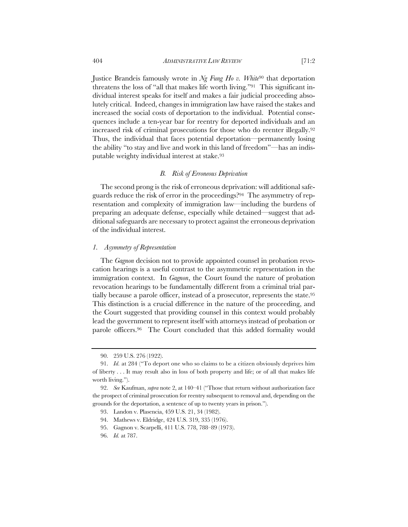Justice Brandeis famously wrote in *Ng Fung Ho v. White*<sup>90</sup> that deportation threatens the loss of "all that makes life worth living."91 This significant individual interest speaks for itself and makes a fair judicial proceeding absolutely critical. Indeed, changes in immigration law have raised the stakes and increased the social costs of deportation to the individual. Potential consequences include a ten-year bar for reentry for deported individuals and an increased risk of criminal prosecutions for those who do reenter illegally.92 Thus, the individual that faces potential deportation—permanently losing the ability "to stay and live and work in this land of freedom"—has an indisputable weighty individual interest at stake.93

#### *B. Risk of Erroneous Deprivation*

The second prong is the risk of erroneous deprivation: will additional safeguards reduce the risk of error in the proceedings?94 The asymmetry of representation and complexity of immigration law—including the burdens of preparing an adequate defense, especially while detained—suggest that additional safeguards are necessary to protect against the erroneous deprivation of the individual interest.

#### *1. Asymmetry of Representation*

The *Gagnon* decision not to provide appointed counsel in probation revocation hearings is a useful contrast to the asymmetric representation in the immigration context. In *Gagnon*, the Court found the nature of probation revocation hearings to be fundamentally different from a criminal trial partially because a parole officer, instead of a prosecutor, represents the state.95 This distinction is a crucial difference in the nature of the proceeding, and the Court suggested that providing counsel in this context would probably lead the government to represent itself with attorneys instead of probation or parole officers.96 The Court concluded that this added formality would

94. Mathews v. Eldridge, 424 U.S. 319, 335 (1976).

<sup>90.</sup> 259 U.S. 276 (1922).

<sup>91.</sup> *Id.* at 284 ("To deport one who so claims to be a citizen obviously deprives him of liberty . . . It may result also in loss of both property and life; or of all that makes life worth living.").

<sup>92.</sup> *See* Kaufman, *supra* note 2, at 140–41 ("Those that return without authorization face the prospect of criminal prosecution for reentry subsequent to removal and, depending on the grounds for the deportation, a sentence of up to twenty years in prison.").

<sup>93.</sup> Landon v. Plasencia, 459 U.S. 21, 34 (1982).

<sup>95.</sup> Gagnon v. Scarpelli, 411 U.S. 778, 788–89 (1973).

<sup>96.</sup> *Id.* at 787.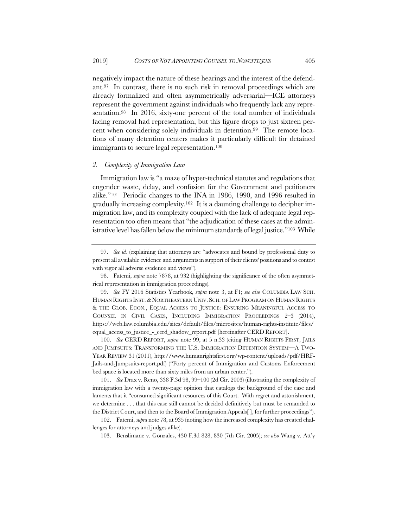negatively impact the nature of these hearings and the interest of the defendant.97 In contrast, there is no such risk in removal proceedings which are already formalized and often asymmetrically adversarial—ICE attorneys represent the government against individuals who frequently lack any representation.98 In 2016, sixty-one percent of the total number of individuals facing removal had representation, but this figure drops to just sixteen percent when considering solely individuals in detention.99 The remote locations of many detention centers makes it particularly difficult for detained immigrants to secure legal representation.<sup>100</sup>

### *2. Complexity of Immigration Law*

Immigration law is "a maze of hyper-technical statutes and regulations that engender waste, delay, and confusion for the Government and petitioners alike."101 Periodic changes to the INA in 1986, 1990, and 1996 resulted in gradually increasing complexity.102 It is a daunting challenge to decipher immigration law, and its complexity coupled with the lack of adequate legal representation too often means that "the adjudication of these cases at the administrative level has fallen below the minimum standards of legal justice."103 While

100. *See* CERD REPORT, *supra* note 99, at 5 n.33 (citing HUMAN RIGHTS FIRST, JAILS AND JUMPSUITS: TRANSFORMING THE U.S. IMMIGRATION DETENTION SYSTEM—A TWO-YEAR REVIEW 31 (2011), http://www.humanrightsfirst.org/wp-content/uploads/pdf/HRF-Jails-and-Jumpsuits-report.pdf) ("Forty percent of Immigration and Customs Enforcement bed space is located more than sixty miles from an urban center.").

101. *See* Drax v. Reno, 338 F.3d 98, 99–100 (2d Cir. 2003) (illustrating the complexity of immigration law with a twenty-page opinion that catalogs the background of the case and laments that it "consumed significant resources of this Court. With regret and astonishment, we determine . . . that this case still cannot be decided definitively but must be remanded to the District Court, and then to the Board of Immigration Appeals[ ], for further proceedings").

103. Benslimane v. Gonzales, 430 F.3d 828, 830 (7th Cir. 2005); *see also* Wang v. Att'y

<sup>97.</sup> *See id.* (explaining that attorneys are "advocates and bound by professional duty to present all available evidence and arguments in support of their clients' positions and to contest with vigor all adverse evidence and views").

<sup>98.</sup> Fatemi, *supra* note 7878, at 932 (highlighting the significance of the often asymmetrical representation in immigration proceedings).

<sup>99.</sup> *See* FY 2016 Statistics Yearbook, *supra* note 3, at F1; *see also* COLUMBIA LAW SCH. HUMAN RIGHTS INST.&NORTHEASTERN UNIV. SCH. OF LAW PROGRAM ON HUMAN RIGHTS & THE GLOB. ECON., EQUAL ACCESS TO JUSTICE: ENSURING MEANINGFUL ACCESS TO COUNSEL IN CIVIL CASES, INCLUDING IMMIGRATION PROCEEDINGS 2–3 (2014), https://web.law.columbia.edu/sites/default/files/microsites/human-rights-institute/files/ equal\_access\_to\_justice\_-\_cerd\_shadow\_report.pdf [hereinafter CERD REPORT].

<sup>102.</sup> Fatemi, *supra* note 78, at 935 (noting how the increased complexity has created challenges for attorneys and judges alike).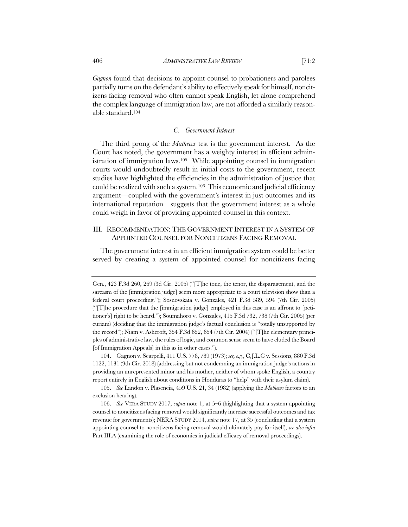*Gagnon* found that decisions to appoint counsel to probationers and parolees partially turns on the defendant's ability to effectively speak for himself, noncitizens facing removal who often cannot speak English, let alone comprehend the complex language of immigration law, are not afforded a similarly reasonable standard.104

# *C. Government Interest*

The third prong of the *Mathews* test is the government interest. As the Court has noted, the government has a weighty interest in efficient administration of immigration laws.105 While appointing counsel in immigration courts would undoubtedly result in initial costs to the government, recent studies have highlighted the efficiencies in the administration of justice that could be realized with such a system.106 This economic and judicial efficiency argument—coupled with the government's interest in just outcomes and its international reputation—suggests that the government interest as a whole could weigh in favor of providing appointed counsel in this context.

# III. RECOMMENDATION: THE GOVERNMENT INTEREST IN A SYSTEM OF APPOINTED COUNSEL FOR NONCITIZENS FACING REMOVAL

The government interest in an efficient immigration system could be better served by creating a system of appointed counsel for noncitizens facing

Gen., 423 F.3d 260, 269 (3d Cir. 2005) ("[T]he tone, the tenor, the disparagement, and the sarcasm of the [immigration judge] seem more appropriate to a court television show than a federal court proceeding."); Sosnovskaia v. Gonzales, 421 F.3d 589, 594 (7th Cir. 2005) ("[T]he procedure that the [immigration judge] employed in this case is an affront to [petitioner's] right to be heard."); Soumahoro v. Gonzales, 415 F.3d 732, 738 (7th Cir. 2005) (per curiam) (deciding that the immigration judge's factual conclusion is "totally unsupported by the record"); Niam v. Ashcroft, 354 F.3d 652, 654 (7th Cir. 2004) ("[T]he elementary principles of administrative law, the rules of logic, and common sense seem to have eluded the Board [of Immigration Appeals] in this as in other cases.").

<sup>104.</sup> Gagnon v. Scarpelli, 411 U.S. 778, 789 (1973); *see, e.g.*, C.J.L.G v. Sessions, 880 F.3d 1122, 1131 (9th Cir. 2018) (addressing but not condemning an immigration judge's actions in providing an unrepresented minor and his mother, neither of whom spoke English, a country report entirely in English about conditions in Honduras to "help" with their asylum claim).

<sup>105.</sup> *See* Landon v. Plasencia, 459 U.S. 21, 34 (1982) (applying the *Mathews* factors to an exclusion hearing).

<sup>106.</sup> *See* VERA STUDY 2017, *supra* note 1, at 5–6 (highlighting that a system appointing counsel to noncitizens facing removal would significantly increase successful outcomes and tax revenue for governments); NERA STUDY 2014, *supra* note 17, at 35 (concluding that a system appointing counsel to noncitizens facing removal would ultimately pay for itself); *see also infra* Part III.A (examining the role of economics in judicial efficacy of removal proceedings).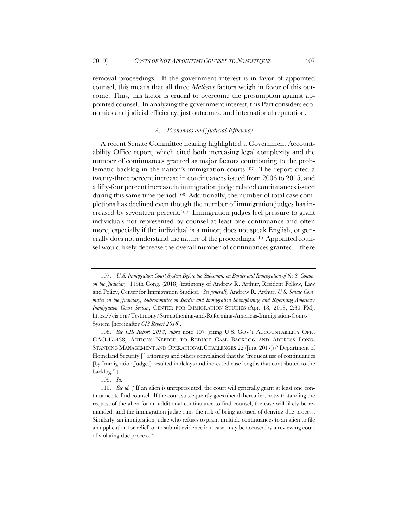removal proceedings. If the government interest is in favor of appointed counsel, this means that all three *Mathews* factors weigh in favor of this outcome. Thus, this factor is crucial to overcome the presumption against appointed counsel. In analyzing the government interest, this Part considers economics and judicial efficiency, just outcomes, and international reputation.

# *A. Economics and Judicial Efficiency*

A recent Senate Committee hearing highlighted a Government Accountability Office report, which cited both increasing legal complexity and the number of continuances granted as major factors contributing to the problematic backlog in the nation's immigration courts.107 The report cited a twenty-three percent increase in continuances issued from 2006 to 2015, and a fifty-four percent increase in immigration judge related continuances issued during this same time period.108 Additionally, the number of total case completions has declined even though the number of immigration judges has increased by seventeen percent.109 Immigration judges feel pressure to grant individuals not represented by counsel at least one continuance and often more, especially if the individual is a minor, does not speak English, or generally does not understand the nature of the proceedings.110 Appointed counsel would likely decrease the overall number of continuances granted—there

<sup>107.</sup> *U.S. Immigration Court System Before the Subcomm. on Border and Immigration of the S. Comm. on the Judiciary*, 115th Cong. (2018) (testimony of Andrew R. Arthur, Resident Fellow, Law and Policy, Center for Immigration Studies). *See generally* Andrew R. Arthur, *U.S. Senate Committee on the Judiciary, Subcommittee on Border and Immigration Strengthening and Reforming America's Immigration Court System*, CENTER FOR IMMIGRATION STUDIES (Apr. 18, 2018, 2:30 PM), https://cis.org/Testimony/Strengthening-and-Reforming-Americas-Immigration-Court-System [hereinafter *CIS Report 2018*].

<sup>108.</sup> *See CIS Report 2018*, *supra* note 107 (citing U.S. GOV'T ACCOUNTABILITY OFF., GAO-17-438, ACTIONS NEEDED TO REDUCE CASE BACKLOG AND ADDRESS LONG-STANDING MANAGEMENT AND OPERATIONAL CHALLENGES 22 (June 2017)) ("Department of Homeland Security [ ] attorneys and others complained that the 'frequent use of continuances [by Immigration Judges] resulted in delays and increased case lengths that contributed to the backlog.'").

<sup>109.</sup> *Id.*

<sup>110.</sup> *See id.* ("If an alien is unrepresented, the court will generally grant at least one continuance to find counsel. If the court subsequently goes ahead thereafter, notwithstanding the request of the alien for an additional continuance to find counsel, the case will likely be remanded, and the immigration judge runs the risk of being accused of denying due process. Similarly, an immigration judge who refuses to grant multiple continuances to an alien to file an application for relief, or to submit evidence in a case, may be accused by a reviewing court of violating due process.").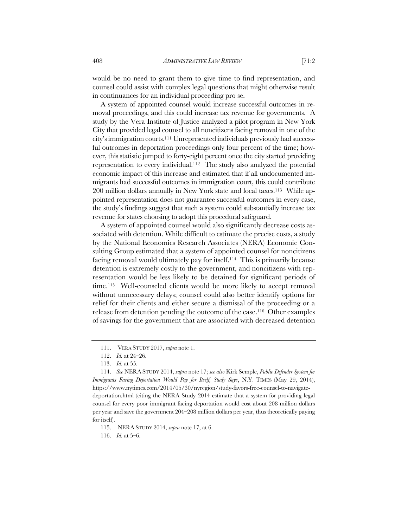would be no need to grant them to give time to find representation, and counsel could assist with complex legal questions that might otherwise result in continuances for an individual proceeding pro se.

A system of appointed counsel would increase successful outcomes in removal proceedings, and this could increase tax revenue for governments. A study by the Vera Institute of Justice analyzed a pilot program in New York City that provided legal counsel to all noncitizens facing removal in one of the city's immigration courts.111 Unrepresented individuals previously had successful outcomes in deportation proceedings only four percent of the time; however, this statistic jumped to forty-eight percent once the city started providing representation to every individual.112 The study also analyzed the potential economic impact of this increase and estimated that if all undocumented immigrants had successful outcomes in immigration court, this could contribute 200 million dollars annually in New York state and local taxes.113 While appointed representation does not guarantee successful outcomes in every case, the study's findings suggest that such a system could substantially increase tax revenue for states choosing to adopt this procedural safeguard.

A system of appointed counsel would also significantly decrease costs associated with detention. While difficult to estimate the precise costs, a study by the National Economics Research Associates (NERA) Economic Consulting Group estimated that a system of appointed counsel for noncitizens facing removal would ultimately pay for itself.114 This is primarily because detention is extremely costly to the government, and noncitizens with representation would be less likely to be detained for significant periods of time.115 Well-counseled clients would be more likely to accept removal without unnecessary delays; counsel could also better identify options for relief for their clients and either secure a dismissal of the proceeding or a release from detention pending the outcome of the case.116 Other examples of savings for the government that are associated with decreased detention

<sup>111.</sup> VERA STUDY 2017, *supra* note 1.

<sup>112.</sup> *Id.* at 24–26.

<sup>113.</sup> *Id.* at 55.

<sup>114.</sup> *See* NERA STUDY 2014, *supra* note 17; *see also* Kirk Semple, *Public Defender System for Immigrants Facing Deportation Would Pay for Itself, Study Says*, N.Y. TIMES (May 29, 2014), https://www.nytimes.com/2014/05/30/nyregion/study-favors-free-counsel-to-navigatedeportation.html (citing the NERA Study 2014 estimate that a system for providing legal counsel for every poor immigrant facing deportation would cost about 208 million dollars per year and save the government 204–208 million dollars per year, thus theoretically paying for itself).

<sup>115.</sup> NERA STUDY 2014, *supra* note 17, at 6.

<sup>116.</sup> *Id.* at 5–6.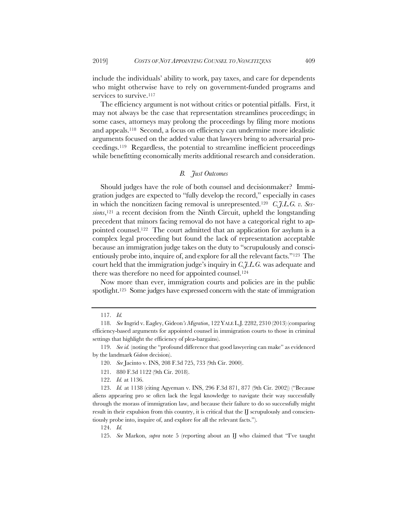include the individuals' ability to work, pay taxes, and care for dependents who might otherwise have to rely on government-funded programs and services to survive.<sup>117</sup>

The efficiency argument is not without critics or potential pitfalls. First, it may not always be the case that representation streamlines proceedings; in some cases, attorneys may prolong the proceedings by filing more motions and appeals.118 Second, a focus on efficiency can undermine more idealistic arguments focused on the added value that lawyers bring to adversarial proceedings.119 Regardless, the potential to streamline inefficient proceedings while benefitting economically merits additional research and consideration.

#### *B. Just Outcomes*

Should judges have the role of both counsel and decisionmaker? Immigration judges are expected to "fully develop the record," especially in cases in which the noncitizen facing removal is unrepresented.120 *C.J.L.G. v. Sessions*,121 a recent decision from the Ninth Circuit, upheld the longstanding precedent that minors facing removal do not have a categorical right to appointed counsel.122 The court admitted that an application for asylum is a complex legal proceeding but found the lack of representation acceptable because an immigration judge takes on the duty to "scrupulously and conscientiously probe into, inquire of, and explore for all the relevant facts."123 The court held that the immigration judge's inquiry in *C.J.L.G.* was adequate and there was therefore no need for appointed counsel.124

Now more than ever, immigration courts and policies are in the public spotlight. 125 Some judges have expressed concern with the state of immigration

121. 880 F.3d 1122 (9th Cir. 2018).

122. *Id.* at 1136.

123. *Id.* at 1138 (citing Agyeman v. INS, 296 F.3d 871, 877 (9th Cir. 2002)) ("Because aliens appearing pro se often lack the legal knowledge to navigate their way successfully through the morass of immigration law, and because their failure to do so successfully might result in their expulsion from this country, it is critical that the IJ scrupulously and conscientiously probe into, inquire of, and explore for all the relevant facts.").

124. *Id.*

<sup>117.</sup> *Id.*

<sup>118.</sup> *See* Ingrid v. Eagley, Gideon*'s Migration*, 122YALE L.J. 2282, 2310 (2013) (comparing efficiency-based arguments for appointed counsel in immigration courts to those in criminal settings that highlight the efficiency of plea-bargains).

<sup>119.</sup> *See id.* (noting the "profound difference that good lawyering can make" as evidenced by the landmark *Gideon* decision).

<sup>120.</sup> *See* Jacinto v. INS, 208 F.3d 725, 733 (9th Cir. 2000).

<sup>125.</sup> *See* Markon, *supra* note 5 (reporting about an IJ who claimed that "I've taught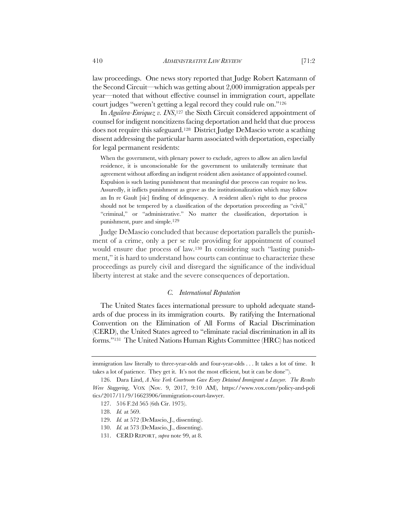law proceedings. One news story reported that Judge Robert Katzmann of the Second Circuit—which was getting about 2,000 immigration appeals per year—noted that without effective counsel in immigration court, appellate court judges "weren't getting a legal record they could rule on."126

In *Aguilera-Enriquez v. INS*,127 the Sixth Circuit considered appointment of counsel for indigent noncitizens facing deportation and held that due process does not require this safeguard.128 District Judge DeMascio wrote a scathing dissent addressing the particular harm associated with deportation, especially for legal permanent residents:

When the government, with plenary power to exclude, agrees to allow an alien lawful residence, it is unconscionable for the government to unilaterally terminate that agreement without affording an indigent resident alien assistance of appointed counsel. Expulsion is such lasting punishment that meaningful due process can require no less. Assuredly, it inflicts punishment as grave as the institutionalization which may follow an In re Gault [sic] finding of delinquency. A resident alien's right to due process should not be tempered by a classification of the deportation proceeding as "civil," "criminal," or "administrative." No matter the classification, deportation is punishment, pure and simple.129

Judge DeMascio concluded that because deportation parallels the punishment of a crime, only a per se rule providing for appointment of counsel would ensure due process of law.130 In considering such "lasting punishment," it is hard to understand how courts can continue to characterize these proceedings as purely civil and disregard the significance of the individual liberty interest at stake and the severe consequences of deportation.

# *C. International Reputation*

The United States faces international pressure to uphold adequate standards of due process in its immigration courts. By ratifying the International Convention on the Elimination of All Forms of Racial Discrimination (CERD), the United States agreed to "eliminate racial discrimination in all its forms."131 The United Nations Human Rights Committee (HRC) has noticed

immigration law literally to three-year-olds and four-year-olds . . . It takes a lot of time. It takes a lot of patience. They get it. It's not the most efficient, but it can be done'').

<sup>126.</sup> Dara Lind, *A New York Courtroom Gave Every Detained Immigrant a Lawyer. The Results Were Staggering*, VOX (Nov. 9, 2017, 9:10 AM), https://www.vox.com/policy-and-poli tics/2017/11/9/16623906/immigration-court-lawyer.

<sup>127.</sup> 516 F.2d 565 (6th Cir. 1975).

<sup>128.</sup> *Id.* at 569.

<sup>129.</sup> *Id.* at 572 (DeMascio, J., dissenting).

<sup>130.</sup> *Id.* at 573 (DeMascio, J., dissenting).

<sup>131.</sup> CERD REPORT, *supra* note 99, at 8.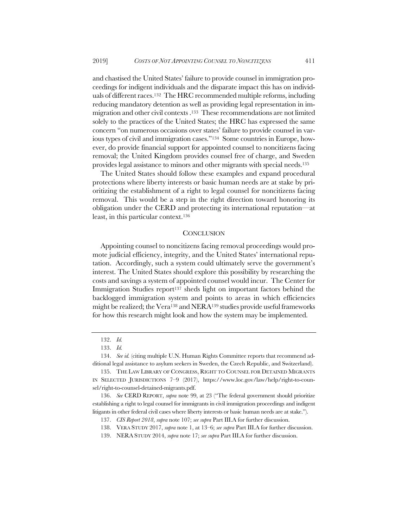and chastised the United States' failure to provide counsel in immigration proceedings for indigent individuals and the disparate impact this has on individuals of different races.132 The HRC recommended multiple reforms, including reducing mandatory detention as well as providing legal representation in immigration and other civil contexts .133 These recommendations are not limited solely to the practices of the United States; the HRC has expressed the same concern "on numerous occasions over states' failure to provide counsel in various types of civil and immigration cases."134 Some countries in Europe, however, do provide financial support for appointed counsel to noncitizens facing removal; the United Kingdom provides counsel free of charge, and Sweden provides legal assistance to minors and other migrants with special needs.135

The United States should follow these examples and expand procedural protections where liberty interests or basic human needs are at stake by prioritizing the establishment of a right to legal counsel for noncitizens facing removal. This would be a step in the right direction toward honoring its obligation under the CERD and protecting its international reputation—at least, in this particular context.136

#### **CONCLUSION**

Appointing counsel to noncitizens facing removal proceedings would promote judicial efficiency, integrity, and the United States' international reputation. Accordingly, such a system could ultimately serve the government's interest. The United States should explore this possibility by researching the costs and savings a system of appointed counsel would incur. The Center for Immigration Studies report<sup>137</sup> sheds light on important factors behind the backlogged immigration system and points to areas in which efficiencies might be realized; the Vera<sup>138</sup> and NERA<sup>139</sup> studies provide useful frameworks for how this research might look and how the system may be implemented.

<sup>132.</sup> *Id.*

<sup>133.</sup> *Id.*

<sup>134.</sup> *See id.* (citing multiple U.N. Human Rights Committee reports that recommend additional legal assistance to asylum seekers in Sweden, the Czech Republic, and Switzerland).

<sup>135.</sup> THE LAW LIBRARY OF CONGRESS, RIGHT TO COUNSEL FOR DETAINED MIGRANTS IN SELECTED JURISDICTIONS 7–9 (2017), https://www.loc.gov/law/help/right-to-counsel/right-to-counsel-detained-migrants.pdf.

<sup>136.</sup> *See* CERD REPORT, *supra* note 99, at 23 ("The federal government should prioritize establishing a right to legal counsel for immigrants in civil immigration proceedings and indigent litigants in other federal civil cases where liberty interests or basic human needs are at stake.").

<sup>137.</sup> *CIS Report 2018*, *supra* note 107; *see supra* Part III.A for further discussion.

<sup>138.</sup> VERA STUDY 2017, *supra* note 1, at 13–6; *see supra* Part III.A for further discussion.

<sup>139.</sup> NERA STUDY 2014, *supra* note 17; *see supra* Part III.A for further discussion.